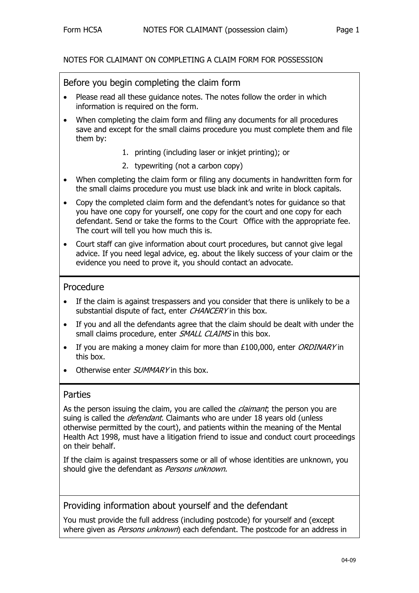### NOTES FOR CLAIMANT ON COMPLETING A CLAIM FORM FOR POSSESSION

Before you begin completing the claim form

- Please read all these guidance notes. The notes follow the order in which information is required on the form.
- When completing the claim form and filing any documents for all procedures save and except for the small claims procedure you must complete them and file them by:
	- 1. printing (including laser or inkjet printing); or
	- 2. typewriting (not a carbon copy)
- When completing the claim form or filing any documents in handwritten form for the small claims procedure you must use black ink and write in block capitals.
- Copy the completed claim form and the defendant's notes for guidance so that you have one copy for yourself, one copy for the court and one copy for each defendant. Send or take the forms to the Court Office with the appropriate fee. The court will tell you how much this is.
- Court staff can give information about court procedures, but cannot give legal advice. If you need legal advice, eg. about the likely success of your claim or the evidence you need to prove it, you should contact an advocate.

### Procedure

- If the claim is against trespassers and you consider that there is unlikely to be a substantial dispute of fact, enter CHANCERY in this box.
- If you and all the defendants agree that the claim should be dealt with under the small claims procedure, enter SMALL CLAIMS in this box.
- If you are making a money claim for more than £100,000, enter ORDINARY in this box.
- Otherwise enter *SUMMARY* in this box.

#### Parties

As the person issuing the claim, you are called the *claimant*; the person you are suing is called the *defendant*. Claimants who are under 18 years old (unless otherwise permitted by the court), and patients within the meaning of the Mental Health Act 1998, must have a litigation friend to issue and conduct court proceedings on their behalf.

If the claim is against trespassers some or all of whose identities are unknown, you should give the defendant as Persons unknown.

### Providing information about yourself and the defendant

You must provide the full address (including postcode) for yourself and (except where given as *Persons unknown*) each defendant. The postcode for an address in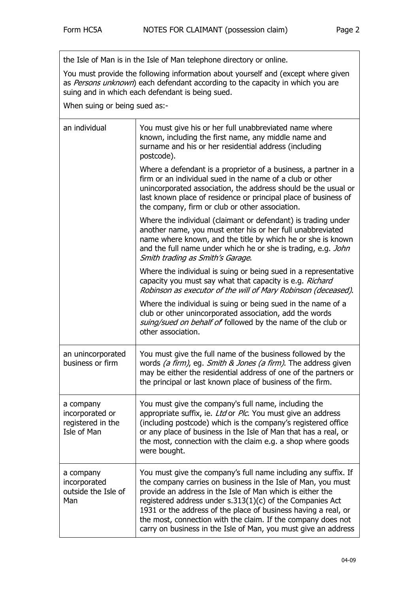the Isle of Man is in the Isle of Man telephone directory or online.

You must provide the following information about yourself and (except where given as Persons unknown) each defendant according to the capacity in which you are suing and in which each defendant is being sued.

When suing or being sued as:-

| an individual                                                    | You must give his or her full unabbreviated name where<br>known, including the first name, any middle name and<br>surname and his or her residential address (including<br>postcode).                                                                                                                                                                                                                                                                          |
|------------------------------------------------------------------|----------------------------------------------------------------------------------------------------------------------------------------------------------------------------------------------------------------------------------------------------------------------------------------------------------------------------------------------------------------------------------------------------------------------------------------------------------------|
|                                                                  | Where a defendant is a proprietor of a business, a partner in a<br>firm or an individual sued in the name of a club or other<br>unincorporated association, the address should be the usual or<br>last known place of residence or principal place of business of<br>the company, firm or club or other association.                                                                                                                                           |
|                                                                  | Where the individual (claimant or defendant) is trading under<br>another name, you must enter his or her full unabbreviated<br>name where known, and the title by which he or she is known<br>and the full name under which he or she is trading, e.g. John<br>Smith trading as Smith's Garage.                                                                                                                                                                |
|                                                                  | Where the individual is suing or being sued in a representative<br>capacity you must say what that capacity is e.g. Richard<br>Robinson as executor of the will of Mary Robinson (deceased).                                                                                                                                                                                                                                                                   |
|                                                                  | Where the individual is suing or being sued in the name of a<br>club or other unincorporated association, add the words<br>suing/sued on behalf of followed by the name of the club or<br>other association.                                                                                                                                                                                                                                                   |
| an unincorporated<br>business or firm                            | You must give the full name of the business followed by the<br>words (a firm), eg. Smith & Jones (a firm). The address given<br>may be either the residential address of one of the partners or<br>the principal or last known place of business of the firm.                                                                                                                                                                                                  |
| a company<br>incorporated or<br>registered in the<br>Isle of Man | You must give the company's full name, including the<br>appropriate suffix, ie. Ltd or Plc. You must give an address<br>(including postcode) which is the company's registered office<br>or any place of business in the Isle of Man that has a real, or<br>the most, connection with the claim e.g. a shop where goods<br>were bought.                                                                                                                        |
| a company<br>incorporated<br>outside the Isle of<br>Man          | You must give the company's full name including any suffix. If<br>the company carries on business in the Isle of Man, you must<br>provide an address in the Isle of Man which is either the<br>registered address under $s.313(1)(c)$ of the Companies Act<br>1931 or the address of the place of business having a real, or<br>the most, connection with the claim. If the company does not<br>carry on business in the Isle of Man, you must give an address |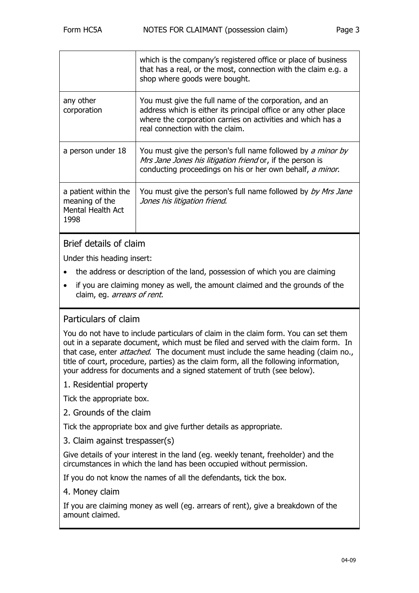|                                                                     | which is the company's registered office or place of business<br>that has a real, or the most, connection with the claim e.g. a<br>shop where goods were bought.                                                            |
|---------------------------------------------------------------------|-----------------------------------------------------------------------------------------------------------------------------------------------------------------------------------------------------------------------------|
| any other<br>corporation                                            | You must give the full name of the corporation, and an<br>address which is either its principal office or any other place<br>where the corporation carries on activities and which has a<br>real connection with the claim. |
| a person under 18                                                   | You must give the person's full name followed by a minor by<br>Mrs Jane Jones his litigation friend or, if the person is<br>conducting proceedings on his or her own behalf, a minor.                                       |
| a patient within the<br>meaning of the<br>Mental Health Act<br>1998 | You must give the person's full name followed by <i>by Mrs Jane</i><br>Jones his litigation friend.                                                                                                                         |

# Brief details of claim

Under this heading insert:

- the address or description of the land, possession of which you are claiming
- if you are claiming money as well, the amount claimed and the grounds of the claim, eg. arrears of rent.

# Particulars of claim

You do not have to include particulars of claim in the claim form. You can set them out in a separate document, which must be filed and served with the claim form. In that case, enter *attached*. The document must include the same heading (claim no., title of court, procedure, parties) as the claim form, all the following information, your address for documents and a signed statement of truth (see below).

1. Residential property

Tick the appropriate box.

2. Grounds of the claim

Tick the appropriate box and give further details as appropriate.

3. Claim against trespasser(s)

Give details of your interest in the land (eg. weekly tenant, freeholder) and the circumstances in which the land has been occupied without permission.

If you do not know the names of all the defendants, tick the box.

4. Money claim

If you are claiming money as well (eg. arrears of rent), give a breakdown of the amount claimed.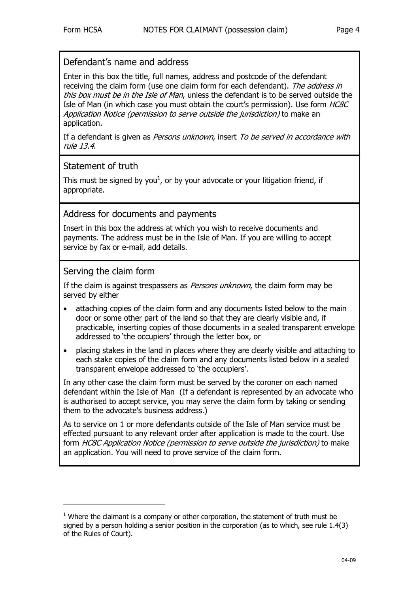Enter in this box the title, full names, address and postcode of the defendant receiving the claim form (use one claim form for each defendant). The address in this box must be in the Isle of Man, unless the defendant is to be served outside the Isle of Man (in which case you must obtain the court's permission). Use form HC8C Application Notice (permission to serve outside the jurisdiction) to make an application.

If a defendant is given as *Persons unknown*, insert To be served in accordance with rule 13.4.

### Statement of truth

This must be signed by you<sup>[1](#page-3-0)</sup>, or by your advocate or your litigation friend, if appropriate.

Address for documents and payments

Insert in this box the address at which you wish to receive documents and payments. The address must be in the Isle of Man. If you are willing to accept service by fax or e-mail, add details.

## Serving the claim form

j

If the claim is against trespassers as *Persons unknown*, the claim form may be served by either

- attaching copies of the claim form and any documents listed below to the main door or some other part of the land so that they are clearly visible and, if practicable, inserting copies of those documents in a sealed transparent envelope addressed to 'the occupiers' through the letter box, or
- placing stakes in the land in places where they are clearly visible and attaching to each stake copies of the claim form and any documents listed below in a sealed transparent envelope addressed to 'the occupiers'.

In any other case the claim form must be served by the coroner on each named defendant within the Isle of Man (If a defendant is represented by an advocate who is authorised to accept service, you may serve the claim form by taking or sending them to the advocate's business address.)

As to service on 1 or more defendants outside of the Isle of Man service must be effected pursuant to any relevant order after application is made to the court. Use form HC8C Application Notice (permission to serve outside the jurisdiction) to make an application. You will need to prove service of the claim form.

<span id="page-3-0"></span> $1$  Where the claimant is a company or other corporation, the statement of truth must be signed by a person holding a senior position in the corporation (as to which, see rule 1.4(3) of the Rules of Court).